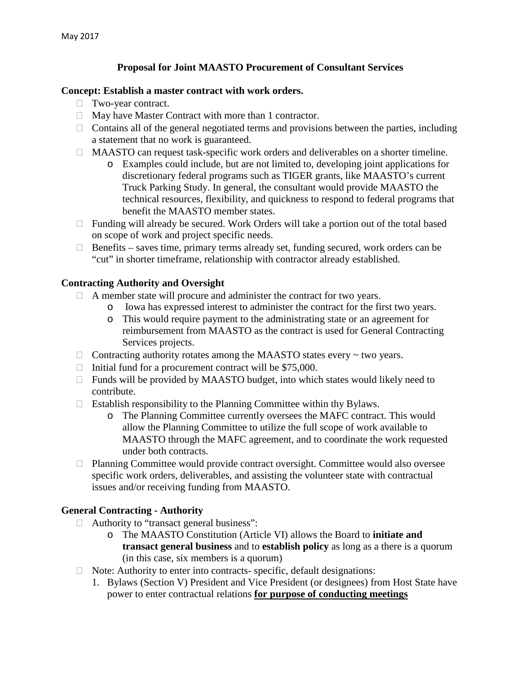# **Proposal for Joint MAASTO Procurement of Consultant Services**

### **Concept: Establish a master contract with work orders.**

- Two-year contract.
- $\Box$  May have Master Contract with more than 1 contractor.
- $\Box$  Contains all of the general negotiated terms and provisions between the parties, including a statement that no work is guaranteed.
- $\Box$  MAASTO can request task-specific work orders and deliverables on a shorter timeline.
	- o Examples could include, but are not limited to, developing joint applications for discretionary federal programs such as TIGER grants, like MAASTO's current Truck Parking Study. In general, the consultant would provide MAASTO the technical resources, flexibility, and quickness to respond to federal programs that benefit the MAASTO member states.
- $\Box$  Funding will already be secured. Work Orders will take a portion out of the total based on scope of work and project specific needs.
- $\Box$  Benefits saves time, primary terms already set, funding secured, work orders can be "cut" in shorter timeframe, relationship with contractor already established.

# **Contracting Authority and Oversight**

- $\Box$  A member state will procure and administer the contract for two years.
	- o Iowa has expressed interest to administer the contract for the first two years.
	- o This would require payment to the administrating state or an agreement for reimbursement from MAASTO as the contract is used for General Contracting Services projects.
- $\Box$  Contracting authority rotates among the MAASTO states every  $\sim$  two years.
- $\Box$  Initial fund for a procurement contract will be \$75,000.
- $\Box$  Funds will be provided by MAASTO budget, into which states would likely need to contribute.
- $\Box$  Establish responsibility to the Planning Committee within thy Bylaws.
	- o The Planning Committee currently oversees the MAFC contract. This would allow the Planning Committee to utilize the full scope of work available to MAASTO through the MAFC agreement, and to coordinate the work requested under both contracts.
- $\Box$  Planning Committee would provide contract oversight. Committee would also oversee specific work orders, deliverables, and assisting the volunteer state with contractual issues and/or receiving funding from MAASTO.

# **General Contracting - Authority**

- $\Box$  Authority to "transact general business":
	- o The MAASTO Constitution (Article VI) allows the Board to **initiate and transact general business** and to **establish policy** as long as a there is a quorum (in this case, six members is a quorum)
- $\Box$  Note: Authority to enter into contracts- specific, default designations:
	- 1. Bylaws (Section V) President and Vice President (or designees) from Host State have power to enter contractual relations **for purpose of conducting meetings**